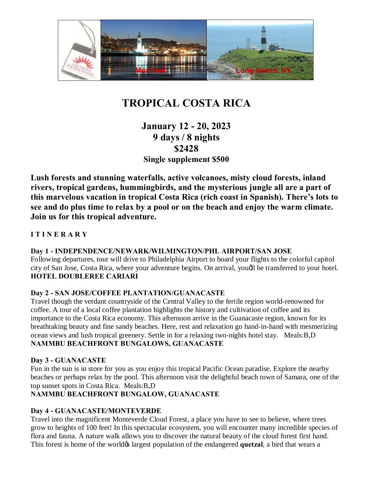

# **TROPICAL COSTA RICA**

# **January 12 - 20, 2023 9 days / 8 nights \$2428 Single supplement \$500**

**Lush forests and stunning waterfalls, active volcanoes, misty cloud forests, inland rivers, tropical gardens, hummingbirds, and the mysterious jungle all are a part of this marvelous vacation in tropical Costa Rica (rich coast in Spanish). There's lots to see and do plus time to relax by a pool or on the beach and enjoy the warm climate. Join us for this tropical adventure.**

# **I T I N E R A R Y**

# **Day 1 - INDEPENDENCE/NEWARK/WILMINGTON/PHL AIRPORT/SAN JOSE**

Following departures, tour will drive to Philadelphia Airport to board your flights to the colorful capitol city of San Jose, Costa Rica, where your adventure begins. On arrival, youdl be transferred to your hotel. **HOTEL DOUBLEREE CARIARI**

#### **Day 2 - SAN JOSE/COFFEE PLANTATION/GUANACASTE**

Travel though the verdant countryside of the Central Valley to the fertile region world-renowned for coffee. A tour of a local coffee plantation highlights the history and cultivation of coffee and its importance to the Costa Rica economy. This afternoon arrive in the Guanacaste region, known for its breathtaking beauty and fine sandy beaches. Here, rest and relaxation go hand-in-hand with mesmerizing ocean views and lush tropical greenery. Settle in for a relaxing two-nights hotel stay. Meals:B,D **NAMMBU BEACHFRONT BUNGALOWS, GUANACASTE** 

# **Day 3 - GUANACASTE**

Fun in the sun is in store for you as you enjoy this tropical Pacific Ocean paradise. Explore the nearby beaches or perhaps relax by the pool. This afternoon visit the delightful beach town of Samara, one of the top sunset spots in Costa Rica. Meals:B,D

# **NAMMBU BEACHFRONT BUNGALOW, GUANACASTE**

# **Day 4 - GUANACASTE/MONTEVERDE**

Travel into the magnificent Monteverde Cloud Forest, a place you have to see to believe, where trees grow to heights of 100 feet! In this spectacular ecosystem, you will encounter many incredible species of flora and fauna. A nature walk allows you to discover the natural beauty of the cloud forest first hand. This forest is home of the world<sub> $\alpha$ </sub> largest population of the endangered **quetzal**, a bird that wears a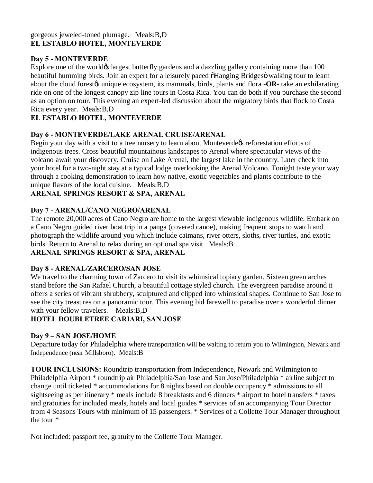#### gorgeous jeweled-toned plumage. Meals:B,D **EL ESTABLO HOTEL, MONTEVERDE**

#### **Day 5 - MONTEVERDE**

Explore one of the world $\alpha$  largest butterfly gardens and a dazzling gallery containing more than 100 beautiful humming birds. Join an expert for a leisurely paced  $\delta$ Hanging Bridges $\ddot{o}$  walking tour to learn about the cloud forestog unique ecosystem, its mammals, birds, plants and flora -**OR**- take an exhilarating ride on one of the longest canopy zip line tours in Costa Rica. You can do both if you purchase the second as an option on tour. This evening an expert-led discussion about the migratory birds that flock to Costa Rica every year. Meals:B,D

# **EL ESTABLO HOTEL, MONTEVERDE**

# **Day 6 - MONTEVERDE/LAKE ARENAL CRUISE/ARENAL**

Begin your day with a visit to a tree nursery to learn about Monteverde ts reforestation efforts of indigenous trees. Cross beautiful mountainous landscapes to Arenal where spectacular views of the volcano await your discovery. Cruise on Lake Arenal, the largest lake in the country. Later check into your hotel for a two-night stay at a typical lodge overlooking the Arenal Volcano. Tonight taste your way through a cooking demonstration to learn how native, exotic vegetables and plants contribute to the unique flavors of the local cuisine. Meals:B,D

#### **ARENAL SPRINGS RESORT & SPA, ARENAL**

#### **Day 7 - ARENAL/CANO NEGRO/ARENAL**

The remote 20,000 acres of Cano Negro are home to the largest viewable indigenous wildlife. Embark on a Cano Negro guided river boat trip in a panga (covered canoe), making frequent stops to watch and photograph the wildlife around you which include caimans, river otters, sloths, river turtles, and exotic birds. Return to Arenal to relax during an optional spa visit. Meals:B **ARENAL SPRINGS RESORT & SPA, ARENAL**

# **Day 8 - ARENAL/ZARCERO/SAN JOSE**

We travel to the charming town of Zarcero to visit its whimsical topiary garden. Sixteen green arches stand before the San Rafael Church, a beautiful cottage styled church. The evergreen paradise around it offers a series of vibrant shrubbery, sculptured and clipped into whimsical shapes. Continue to San Jose to see the city treasures on a panoramic tour. This evening bid farewell to paradise over a wonderful dinner with your fellow travelers. Meals:B,D

# **HOTEL DOUBLETREE CARIARI, SAN JOSE**

# **Day 9 – SAN JOSE/HOME**

Departure today for Philadelphia where transportation will be waiting to return you to Wilmington, Newark and Independence (near Millsboro). Meals:B

**TOUR INCLUSIONS:** Roundtrip transportation from Independence, Newark and Wilmington to Philadelphia Airport \* roundtrip air Philadelphia/San Jose and San Jose/Philadelphia \* airline subject to change until ticketed \* accommodations for 8 nights based on double occupancy \* admissions to all sightseeing as per itinerary \* meals include 8 breakfasts and 6 dinners \* airport to hotel transfers \* taxes and gratuities for included meals, hotels and local guides \* services of an accompanying Tour Director from 4 Seasons Tours with minimum of 15 passengers. \* Services of a Collette Tour Manager throughout the tour \*

Not included: passport fee, gratuity to the Collette Tour Manager.